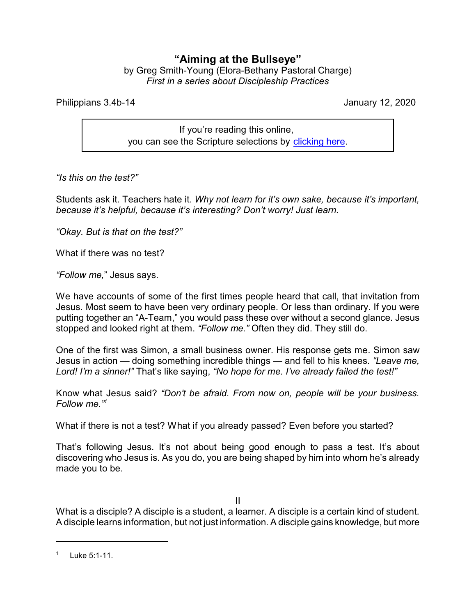## **"Aiming at the Bullseye"**

by Greg Smith-Young (Elora-Bethany Pastoral Charge) *First in a series about Discipleship Practices*

Philippians 3.4b-14 January 12, 2020

If you're reading this online, you can see the Scripture selections by [clicking here](https://www.biblegateway.com/passage/?search=Philippians+3.4b-14&version=CEB).

*"Is this on the test?"*

Students ask it. Teachers hate it. *Why not learn for it's own sake, because it's important, because it's helpful, because it's interesting? Don't worry! Just learn.*

*"Okay. But is that on the test?"*

What if there was no test?

*"Follow me,*" Jesus says.

We have accounts of some of the first times people heard that call, that invitation from Jesus. Most seem to have been very ordinary people. Or less than ordinary. If you were putting together an "A-Team," you would pass these over without a second glance. Jesus stopped and looked right at them. *"Follow me."* Often they did. They still do.

One of the first was Simon, a small business owner. His response gets me. Simon saw Jesus in action — doing something incredible things — and fell to his knees. *"Leave me, Lord! I'm a sinner!"* That's like saying, *"No hope for me. I've already failed the test!"*

Know what Jesus said? *"Don't be afraid. From now on, people will be your business. Follow me."<sup>1</sup>*

What if there is not a test? What if you already passed? Even before you started?

That's following Jesus. It's not about being good enough to pass a test. It's about discovering who Jesus is. As you do, you are being shaped by him into whom he's already made you to be.

II

What is a disciple? A disciple is a student, a learner. A disciple is a certain kind of student. A disciple learns information, but not just information. A disciple gains knowledge, but more

<sup>1</sup> Luke 5:1-11.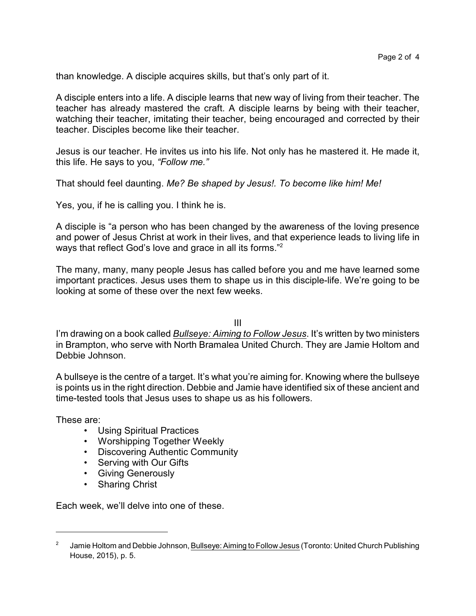than knowledge. A disciple acquires skills, but that's only part of it.

A disciple enters into a life. A disciple learns that new way of living from their teacher. The teacher has already mastered the craft. A disciple learns by being with their teacher, watching their teacher, imitating their teacher, being encouraged and corrected by their teacher. Disciples become like their teacher.

Jesus is our teacher. He invites us into his life. Not only has he mastered it. He made it, this life. He says to you, *"Follow me."*

That should feel daunting. *Me? Be shaped by Jesus!. To become like him! Me!* 

Yes, you, if he is calling you. I think he is.

A disciple is "a person who has been changed by the awareness of the loving presence and power of Jesus Christ at work in their lives, and that experience leads to living life in ways that reflect God's love and grace in all its forms."<sup>2</sup>

The many, many, many people Jesus has called before you and me have learned some important practices. Jesus uses them to shape us in this disciple-life. We're going to be looking at some of these over the next few weeks.

III

I'm drawing on a book called *Bullseye: Aiming to Follow Jesus*. It's written by two ministers in Brampton, who serve with North Bramalea United Church. They are Jamie Holtom and Debbie Johnson.

A bullseye is the centre of a target. It's what you're aiming for. Knowing where the bullseye is points us in the right direction. Debbie and Jamie have identified six of these ancient and time-tested tools that Jesus uses to shape us as his followers.

These are:

- Using Spiritual Practices
- Worshipping Together Weekly
- Discovering Authentic Community
- Serving with Our Gifts
- Giving Generously
- Sharing Christ

Each week, we'll delve into one of these.

<sup>2</sup> Jamie Holtom and Debbie Johnson, Bullseye: Aiming to Follow Jesus (Toronto: United Church Publishing House, 2015), p. 5.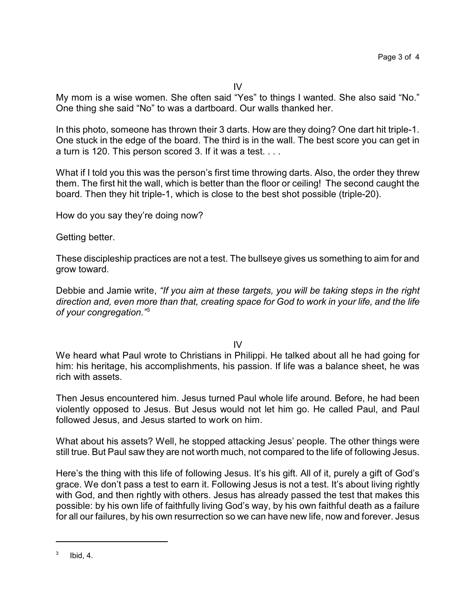My mom is a wise women. She often said "Yes" to things I wanted. She also said "No." One thing she said "No" to was a dartboard. Our walls thanked her.

In this photo, someone has thrown their 3 darts. How are they doing? One dart hit triple-1. One stuck in the edge of the board. The third is in the wall. The best score you can get in a turn is 120. This person scored 3. If it was a test. . . .

What if I told you this was the person's first time throwing darts. Also, the order they threw them. The first hit the wall, which is better than the floor or ceiling! The second caught the board. Then they hit triple-1, which is close to the best shot possible (triple-20).

How do you say they're doing now?

Getting better.

These discipleship practices are not a test. The bullseye gives us something to aim for and grow toward.

Debbie and Jamie write, *"If you aim at these targets, you will be taking steps in the right direction and, even more than that, creating space for God to work in your life, and the life of your congregation."*<sup>3</sup>

IV

We heard what Paul wrote to Christians in Philippi. He talked about all he had going for him: his heritage, his accomplishments, his passion. If life was a balance sheet, he was rich with assets.

Then Jesus encountered him. Jesus turned Paul whole life around. Before, he had been violently opposed to Jesus. But Jesus would not let him go. He called Paul, and Paul followed Jesus, and Jesus started to work on him.

What about his assets? Well, he stopped attacking Jesus' people. The other things were still true. But Paul saw they are not worth much, not compared to the life of following Jesus.

Here's the thing with this life of following Jesus. It's his gift. All of it, purely a gift of God's grace. We don't pass a test to earn it. Following Jesus is not a test. It's about living rightly with God, and then rightly with others. Jesus has already passed the test that makes this possible: by his own life of faithfully living God's way, by his own faithful death as a failure for all our failures, by his own resurrection so we can have new life, now and forever. Jesus

<sup>3</sup> Ibid, 4.